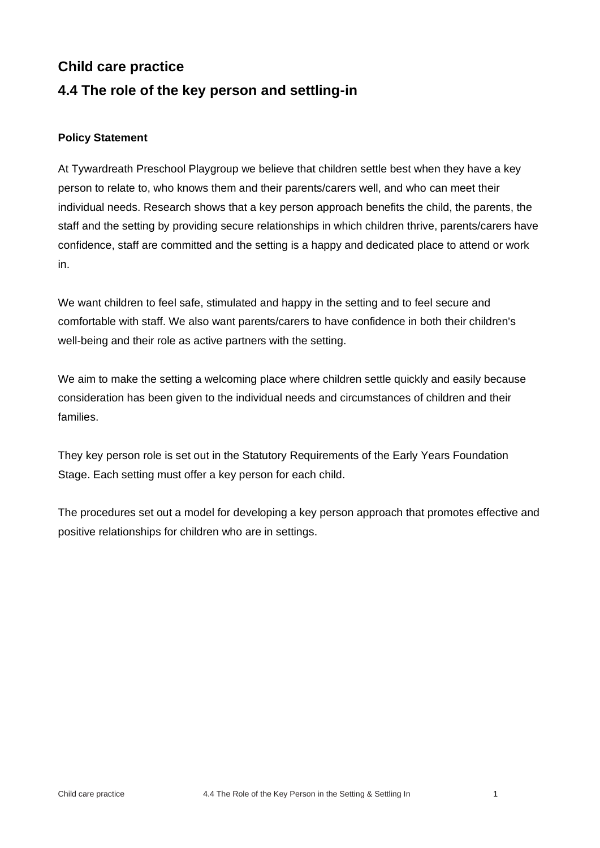## **Child care practice 4.4 The role of the key person and settling-in**

## **Policy Statement**

At Tywardreath Preschool Playgroup we believe that children settle best when they have a key person to relate to, who knows them and their parents/carers well, and who can meet their individual needs. Research shows that a key person approach benefits the child, the parents, the staff and the setting by providing secure relationships in which children thrive, parents/carers have confidence, staff are committed and the setting is a happy and dedicated place to attend or work in.

We want children to feel safe, stimulated and happy in the setting and to feel secure and comfortable with staff. We also want parents/carers to have confidence in both their children's well-being and their role as active partners with the setting.

We aim to make the setting a welcoming place where children settle quickly and easily because consideration has been given to the individual needs and circumstances of children and their families.

They key person role is set out in the Statutory Requirements of the Early Years Foundation Stage. Each setting must offer a key person for each child.

The procedures set out a model for developing a key person approach that promotes effective and positive relationships for children who are in settings.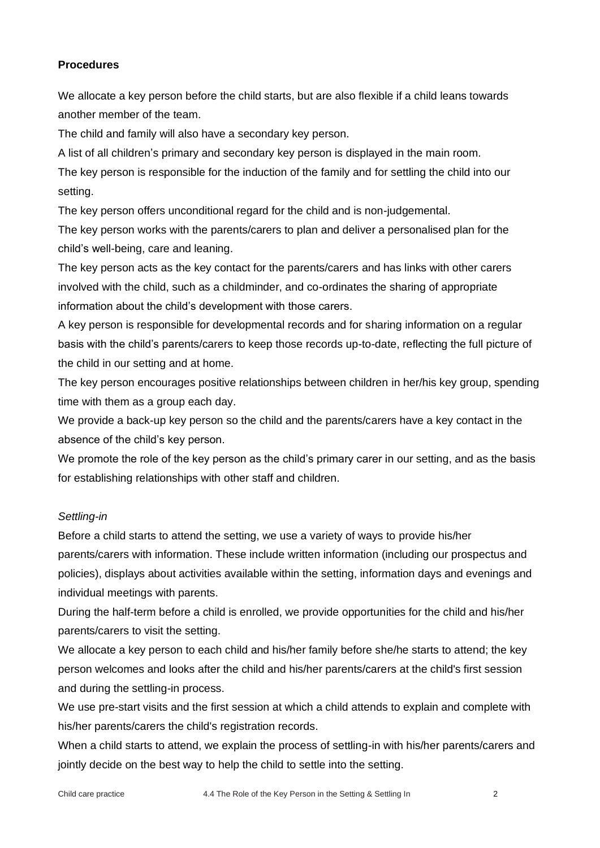## **Procedures**

We allocate a key person before the child starts, but are also flexible if a child leans towards another member of the team.

The child and family will also have a secondary key person.

A list of all children's primary and secondary key person is displayed in the main room.

The key person is responsible for the induction of the family and for settling the child into our setting.

The key person offers unconditional regard for the child and is non-judgemental.

The key person works with the parents/carers to plan and deliver a personalised plan for the child's well-being, care and leaning.

The key person acts as the key contact for the parents/carers and has links with other carers involved with the child, such as a childminder, and co-ordinates the sharing of appropriate information about the child's development with those carers.

A key person is responsible for developmental records and for sharing information on a regular basis with the child's parents/carers to keep those records up-to-date, reflecting the full picture of the child in our setting and at home.

The key person encourages positive relationships between children in her/his key group, spending time with them as a group each day.

We provide a back-up key person so the child and the parents/carers have a key contact in the absence of the child's key person.

We promote the role of the key person as the child's primary carer in our setting, and as the basis for establishing relationships with other staff and children.

## *Settling-in*

Before a child starts to attend the setting, we use a variety of ways to provide his/her parents/carers with information. These include written information (including our prospectus and policies), displays about activities available within the setting, information days and evenings and individual meetings with parents.

During the half-term before a child is enrolled, we provide opportunities for the child and his/her parents/carers to visit the setting.

We allocate a key person to each child and his/her family before she/he starts to attend; the key person welcomes and looks after the child and his/her parents/carers at the child's first session and during the settling-in process.

We use pre-start visits and the first session at which a child attends to explain and complete with his/her parents/carers the child's registration records.

When a child starts to attend, we explain the process of settling-in with his/her parents/carers and jointly decide on the best way to help the child to settle into the setting.